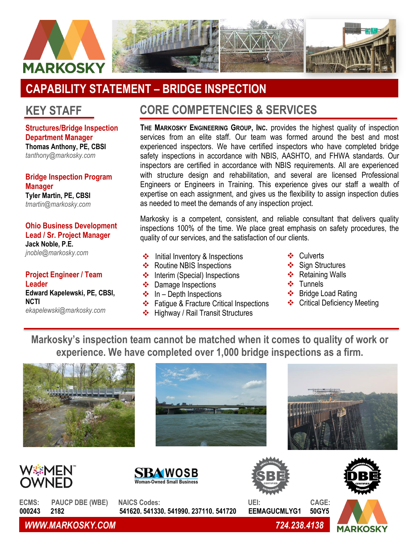

## **CAPABILITY STATEMENT – BRIDGE INSPECTION**

## **KEY STAFF**

**Structures/Bridge Inspection Department Manager Thomas Anthony, PE, CBSI** *[tanthony@markosky.com](mailto:tanthony@markosky.com)*

**Bridge Inspection Program Manager Tyler Martin, PE, CBSI** *[tmartin@markosky.com](mailto:tmartin@markosky.com)*

**Ohio Business Development Lead / Sr. Project Manager Jack Noble, P.E.** *[jnoble@markosky.com](mailto:jnoble@markosky.com)*

**Project Engineer / Team Leader Edward Kapelewski, PE, CBSI, NCTI**

*ekapelewski@markosky.com*

## **CORE COMPETENCIES & SERVICES**

**THE MARKOSKY ENGINEERING GROUP, INC.** provides the highest quality of inspection services from an elite staff. Our team was formed around the best and most experienced inspectors. We have certified inspectors who have completed bridge safety inspections in accordance with NBIS, AASHTO, and FHWA standards. Our inspectors are certified in accordance with NBIS requirements. All are experienced with structure design and rehabilitation, and several are licensed Professional Engineers or Engineers in Training. This experience gives our staff a wealth of expertise on each assignment, and gives us the flexibility to assign inspection duties as needed to meet the demands of any inspection project.

Markosky is a competent, consistent, and reliable consultant that delivers quality inspections 100% of the time. We place great emphasis on safety procedures, the quality of our services, and the satisfaction of our clients.

- ❖ Initial Inventory & Inspections **◆** Culverts
- ❖ Routine NBIS Inspections
- ❖ Interim (Special) Inspections
- ❖ Damage Inspections
- $\div$  In Depth Inspections
- ❖ Fatigue & Fracture Critical Inspections
- ❖ Highway / Rail Transit Structures
- ❖ Culverts
- ❖ Sign Structures
- ❖ Retaining Walls
- ❖ Tunnels
- ❖ Bridge Load Rating
- ❖ Critical Deficiency Meeting

**Markosky's inspection team cannot be matched when it comes to quality of work or experience. We have completed over 1,000 bridge inspections as a firm.**















**ECMS: PAUCP DBE (WBE) NAICS Codes: UEI: CAGE:** 



*WWW.MARKOSKY.COM 724.238.4138*

 **000243 2182 541620, 541330, 541990, 237110, 541720 EEMAGUCMLYG1 50GY5**